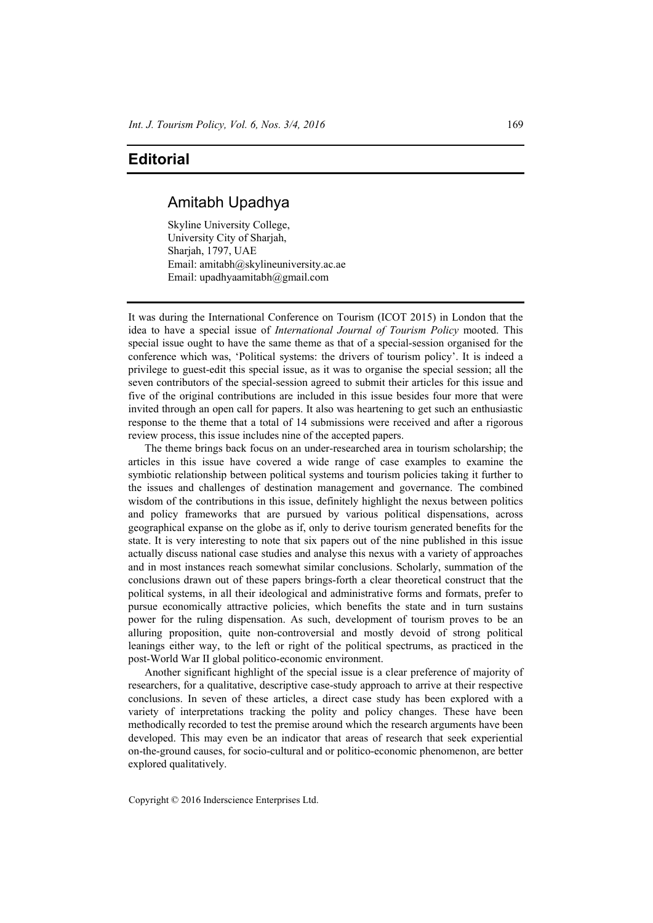## **Editorial**

## Amitabh Upadhya

Skyline University College, University City of Sharjah, Sharjah, 1797, UAE Email: amitabh@skylineuniversity.ac.ae Email: upadhyaamitabh@gmail.com

It was during the International Conference on Tourism (ICOT 2015) in London that the idea to have a special issue of *International Journal of Tourism Policy* mooted. This special issue ought to have the same theme as that of a special-session organised for the conference which was, 'Political systems: the drivers of tourism policy'. It is indeed a privilege to guest-edit this special issue, as it was to organise the special session; all the seven contributors of the special-session agreed to submit their articles for this issue and five of the original contributions are included in this issue besides four more that were invited through an open call for papers. It also was heartening to get such an enthusiastic response to the theme that a total of 14 submissions were received and after a rigorous review process, this issue includes nine of the accepted papers.

The theme brings back focus on an under-researched area in tourism scholarship; the articles in this issue have covered a wide range of case examples to examine the symbiotic relationship between political systems and tourism policies taking it further to the issues and challenges of destination management and governance. The combined wisdom of the contributions in this issue, definitely highlight the nexus between politics and policy frameworks that are pursued by various political dispensations, across geographical expanse on the globe as if, only to derive tourism generated benefits for the state. It is very interesting to note that six papers out of the nine published in this issue actually discuss national case studies and analyse this nexus with a variety of approaches and in most instances reach somewhat similar conclusions. Scholarly, summation of the conclusions drawn out of these papers brings-forth a clear theoretical construct that the political systems, in all their ideological and administrative forms and formats, prefer to pursue economically attractive policies, which benefits the state and in turn sustains power for the ruling dispensation. As such, development of tourism proves to be an alluring proposition, quite non-controversial and mostly devoid of strong political leanings either way, to the left or right of the political spectrums, as practiced in the post-World War II global politico-economic environment.

Another significant highlight of the special issue is a clear preference of majority of researchers, for a qualitative, descriptive case-study approach to arrive at their respective conclusions. In seven of these articles, a direct case study has been explored with a variety of interpretations tracking the polity and policy changes. These have been methodically recorded to test the premise around which the research arguments have been developed. This may even be an indicator that areas of research that seek experiential on-the-ground causes, for socio-cultural and or politico-economic phenomenon, are better explored qualitatively.

Copyright © 2016 Inderscience Enterprises Ltd.